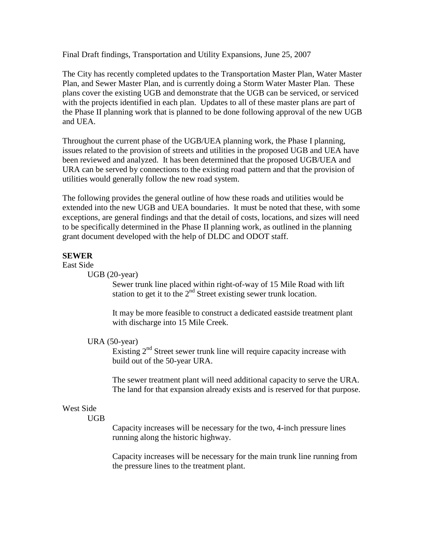Final Draft findings, Transportation and Utility Expansions, June 25, 2007

The City has recently completed updates to the Transportation Master Plan, Water Master Plan, and Sewer Master Plan, and is currently doing a Storm Water Master Plan. These plans cover the existing UGB and demonstrate that the UGB can be serviced, or serviced with the projects identified in each plan. Updates to all of these master plans are part of the Phase II planning work that is planned to be done following approval of the new UGB and UEA.

Throughout the current phase of the UGB/UEA planning work, the Phase I planning, issues related to the provision of streets and utilities in the proposed UGB and UEA have been reviewed and analyzed. It has been determined that the proposed UGB/UEA and URA can be served by connections to the existing road pattern and that the provision of utilities would generally follow the new road system.

The following provides the general outline of how these roads and utilities would be extended into the new UGB and UEA boundaries. It must be noted that these, with some exceptions, are general findings and that the detail of costs, locations, and sizes will need to be specifically determined in the Phase II planning work, as outlined in the planning grant document developed with the help of DLDC and ODOT staff.

# **SEWER**

East Side

UGB (20-year)

Sewer trunk line placed within right-of-way of 15 Mile Road with lift station to get it to the  $2<sup>nd</sup>$  Street existing sewer trunk location.

It may be more feasible to construct a dedicated eastside treatment plant with discharge into 15 Mile Creek.

# URA (50-year)

Existing 2<sup>nd</sup> Street sewer trunk line will require capacity increase with build out of the 50-year URA.

The sewer treatment plant will need additional capacity to serve the URA. The land for that expansion already exists and is reserved for that purpose.

# West Side

UGB

Capacity increases will be necessary for the two, 4-inch pressure lines running along the historic highway.

Capacity increases will be necessary for the main trunk line running from the pressure lines to the treatment plant.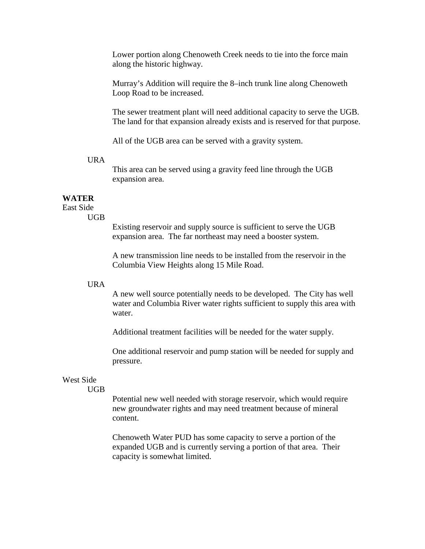Lower portion along Chenoweth Creek needs to tie into the force main along the historic highway.

Murray's Addition will require the 8–inch trunk line along Chenoweth Loop Road to be increased.

The sewer treatment plant will need additional capacity to serve the UGB. The land for that expansion already exists and is reserved for that purpose.

All of the UGB area can be served with a gravity system.

## URA

This area can be served using a gravity feed line through the UGB expansion area.

## **WATER**

East Side UGB

Existing reservoir and supply source is sufficient to serve the UGB expansion area. The far northeast may need a booster system.

A new transmission line needs to be installed from the reservoir in the Columbia View Heights along 15 Mile Road.

### URA

A new well source potentially needs to be developed. The City has well water and Columbia River water rights sufficient to supply this area with water.

Additional treatment facilities will be needed for the water supply.

One additional reservoir and pump station will be needed for supply and pressure.

# West Side

UGB

Potential new well needed with storage reservoir, which would require new groundwater rights and may need treatment because of mineral content.

Chenoweth Water PUD has some capacity to serve a portion of the expanded UGB and is currently serving a portion of that area. Their capacity is somewhat limited.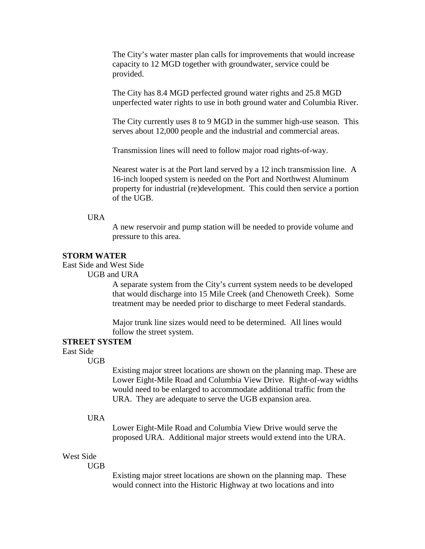The City's water master plan calls for improvements that would increase capacity to 12 MGD together with groundwater, service could be provided.

The City has 8.4 MGD perfected ground water rights and 25.8 MGD unperfected water rights to use in both ground water and Columbia River.

The City currently uses 8 to 9 MGD in the summer high-use season. This serves about 12,000 people and the industrial and commercial areas.

Transmission lines will need to follow major road rights-of-way.

Nearest water is at the Port land served by a 12 inch transmission line. A 16-inch looped system is needed on the Port and Northwest Aluminum property for industrial (re)development. This could then service a portion of the UGB.

URA

A new reservoir and pump station will be needed to provide volume and pressure to this area.

## **STORM WATER**

East Side and West Side

UGB and URA

A separate system from the City's current system needs to be developed that would discharge into 15 Mile Creek (and Chenoweth Creek). Some treatment may be needed prior to discharge to meet Federal standards.

Major trunk line sizes would need to be determined. All lines would follow the street system.

## **STREET SYSTEM**

East Side

UGB

Existing major street locations are shown on the planning map. These are Lower Eight-Mile Road and Columbia View Drive. Right-of-way widths would need to be enlarged to accommodate additional traffic from the URA. They are adequate to serve the UGB expansion area.

#### URA

Lower Eight-Mile Road and Columbia View Drive would serve the proposed URA. Additional major streets would extend into the URA.

### West Side

UGB

Existing major street locations are shown on the planning map. These would connect into the Historic Highway at two locations and into